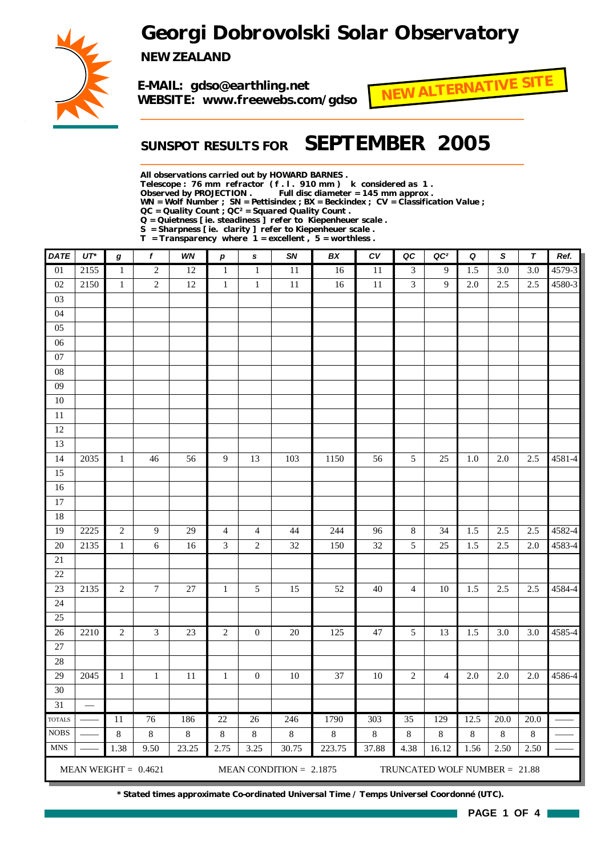## *Georgi Dobrovolski Solar Observatory*



*NEW ZEALAND*

*E-MAIL: gdso@earthling.net WEBSITE: www.freewebs.com/gdso*



### *SUNSPOT RESULTS FOR SEPTEMBER 2005*

*All observations carried out by HOWARD BARNES .*

*Telescope : 76 mm refractor ( f . l . 910 mm ) k considered as 1 .*

Full disc diameter = 145 mm approx .

*WN = Wolf Number ; SN = Pettisindex ; BX = Beckindex ; CV = Classification Value ;*

*QC = Quality Count ; QC² = Squared Quality Count . Q = Quietness [ ie. steadiness ] refer to Kiepenheuer scale .*

*S = Sharpness [ ie. clarity ] refer to Kiepenheuer scale . T = Transparency where 1 = excellent , 5 = worthless .*

| <b>DATE</b>     | $UT^*$ | $\bm{g}$     | $\boldsymbol{f}$       | WN      | $\boldsymbol{p}$ | s                | SN                        | BX      | ${\cal C}{\cal V}$ | QC             | QC <sup>2</sup>               | Q       | $\boldsymbol{\mathsf{S}}$ | $\boldsymbol{\tau}$ | Ref.   |
|-----------------|--------|--------------|------------------------|---------|------------------|------------------|---------------------------|---------|--------------------|----------------|-------------------------------|---------|---------------------------|---------------------|--------|
| $\overline{01}$ | 2155   | $\mathbf{1}$ | $\mathbf{2}$           | 12      | $\mathbf{1}$     | $\mathbf{1}$     | 11                        | 16      | 11                 | 3              | 9                             | 1.5     | $\overline{3.0}$          | $\overline{3.0}$    | 4579-3 |
| $02\,$          | 2150   | $\mathbf{1}$ | $\sqrt{2}$             | 12      | $\mathbf{1}$     | $\mathbf{1}$     | 11                        | 16      | $11\,$             | $\overline{3}$ | 9                             | 2.0     | 2.5                       | 2.5                 | 4580-3 |
| 03              |        |              |                        |         |                  |                  |                           |         |                    |                |                               |         |                           |                     |        |
| 04              |        |              |                        |         |                  |                  |                           |         |                    |                |                               |         |                           |                     |        |
| 05              |        |              |                        |         |                  |                  |                           |         |                    |                |                               |         |                           |                     |        |
| $\overline{06}$ |        |              |                        |         |                  |                  |                           |         |                    |                |                               |         |                           |                     |        |
| $07\,$          |        |              |                        |         |                  |                  |                           |         |                    |                |                               |         |                           |                     |        |
| ${\bf 08}$      |        |              |                        |         |                  |                  |                           |         |                    |                |                               |         |                           |                     |        |
| $\overline{09}$ |        |              |                        |         |                  |                  |                           |         |                    |                |                               |         |                           |                     |        |
| $10\,$          |        |              |                        |         |                  |                  |                           |         |                    |                |                               |         |                           |                     |        |
| $\overline{11}$ |        |              |                        |         |                  |                  |                           |         |                    |                |                               |         |                           |                     |        |
| 12              |        |              |                        |         |                  |                  |                           |         |                    |                |                               |         |                           |                     |        |
| 13              |        |              |                        |         |                  |                  |                           |         |                    |                |                               |         |                           |                     |        |
| 14              | 2035   | $\mathbf{1}$ | 46                     | 56      | 9                | 13               | 103                       | 1150    | 56                 | 5              | 25                            | $1.0\,$ | $2.0\,$                   | 2.5                 | 4581-4 |
| 15              |        |              |                        |         |                  |                  |                           |         |                    |                |                               |         |                           |                     |        |
| 16              |        |              |                        |         |                  |                  |                           |         |                    |                |                               |         |                           |                     |        |
| $17\,$          |        |              |                        |         |                  |                  |                           |         |                    |                |                               |         |                           |                     |        |
| 18              |        |              |                        |         |                  |                  |                           |         |                    |                |                               |         |                           |                     |        |
| 19              | 2225   | $\sqrt{2}$   | 9                      | 29      | $\overline{4}$   | $\overline{4}$   | 44                        | 244     | 96                 | $\,8\,$        | 34                            | 1.5     | 2.5                       | 2.5                 | 4582-4 |
| $20\,$          | 2135   | $\mathbf{1}$ | 6                      | 16      | 3                | $\mathbf{2}$     | 32                        | 150     | 32                 | 5              | 25                            | 1.5     | 2.5                       | 2.0                 | 4583-4 |
| $21\,$          |        |              |                        |         |                  |                  |                           |         |                    |                |                               |         |                           |                     |        |
| $22\,$          |        |              |                        |         |                  |                  |                           |         |                    |                |                               |         |                           |                     |        |
| 23              | 2135   | $\sqrt{2}$   | $\tau$                 | 27      | $\mathbf{1}$     | 5                | 15                        | 52      | $40\,$             | $\overline{4}$ | 10                            | 1.5     | 2.5                       | 2.5                 | 4584-4 |
| 24<br>25        |        |              |                        |         |                  |                  |                           |         |                    |                |                               |         |                           |                     |        |
| 26              | 2210   | $\sqrt{2}$   | 3                      | 23      | $\boldsymbol{2}$ | $\boldsymbol{0}$ | $20\,$                    | 125     | $47\,$             | 5              | 13                            | 1.5     | 3.0                       | $3.0\,$             | 4585-4 |
| $27\,$          |        |              |                        |         |                  |                  |                           |         |                    |                |                               |         |                           |                     |        |
| $28\,$          |        |              |                        |         |                  |                  |                           |         |                    |                |                               |         |                           |                     |        |
| 29              | 2045   | $\mathbf{1}$ | $\mathbf{1}$           | 11      | $\mathbf{1}$     | $\boldsymbol{0}$ | 10                        | 37      | 10                 | $\mathfrak{2}$ | $\overline{4}$                | 2.0     | $2.0\,$                   | $2.0\,$             | 4586-4 |
| 30              |        |              |                        |         |                  |                  |                           |         |                    |                |                               |         |                           |                     |        |
| 31              |        |              |                        |         |                  |                  |                           |         |                    |                |                               |         |                           |                     |        |
| <b>TOTALS</b>   |        | 11           | 76                     | 186     | 22               | 26               | 246                       | 1790    | 303                | 35             | 129                           | 12.5    | 20.0                      | 20.0                |        |
| $\rm{NOBS}$     |        | $8\,$        | 8                      | $\,8\,$ | $\,8\,$          | $8\,$            | $8\,$                     | $\,8\,$ | $\,8\,$            | $8\,$          | $8\,$                         | $8\,$   | $\,8\,$                   | 8                   |        |
| <b>MNS</b>      |        | 1.38         | 9.50                   | 23.25   | 2.75             | 3.25             | 30.75                     | 223.75  | 37.88              | 4.38           | 16.12                         | 1.56    | 2.50                      | 2.50                |        |
|                 |        |              | MEAN WEIGHT = $0.4621$ |         |                  |                  | MEAN CONDITION = $2.1875$ |         |                    |                | TRUNCATED WOLF NUMBER = 21.88 |         |                           |                     |        |

*\* Stated times approximate Co-ordinated Universal Time / Temps Universel Coordonné (UTC).*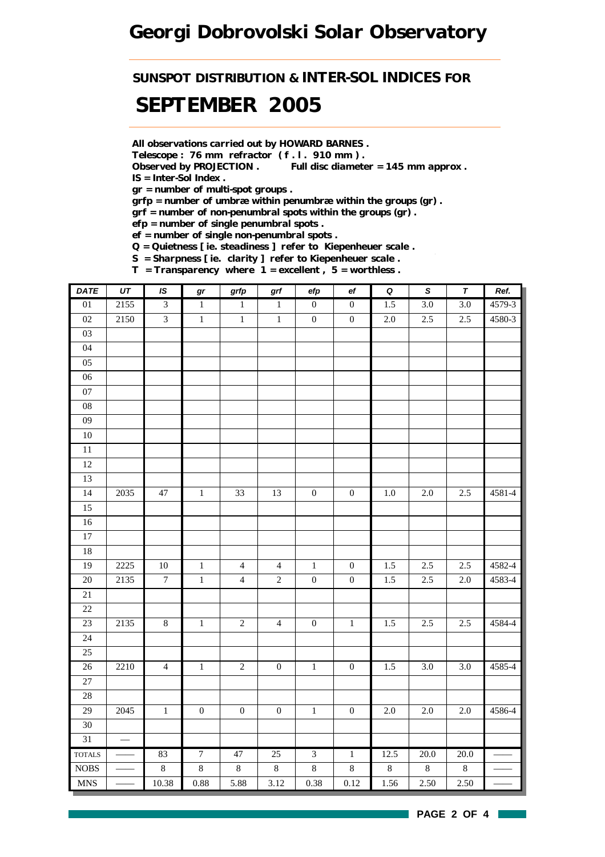## *Georgi Dobrovolski Solar Observatory*

*SUNSPOT DISTRIBUTION & INTER-SOL INDICES FOR*

## *SEPTEMBER 2005*

*All observations carried out by HOWARD BARNES .*

*Telescope : 76 mm refractor ( f . l . 910 mm ) .*

*Observed by PROJECTION . Full disc diameter = 145 mm approx . IS = Inter-Sol Index .*

*gr = number of multi-spot groups .*

*grfp = number of umbræ within penumbræ within the groups (gr) .*

*grf = number of non-penumbral spots within the groups (gr) .*

*efp = number of single penumbral spots .*

*ef = number of single non-penumbral spots .*

*Q = Quietness [ ie. steadiness ] refer to Kiepenheuer scale .*

*S = Sharpness [ ie. clarity ] refer to Kiepenheuer scale . T = Transparency where 1 = excellent , 5 = worthless .*

| <b>DATE</b>                 | UT            | IS                      | gr               | grfp             | $\operatorname{\textsf{grf}}$ | efp              | $_{\rm ef}$      | $\overline{\mathbf{Q}}$ | $\overline{s}$ | $\pmb{\tau}$     | Ref.       |
|-----------------------------|---------------|-------------------------|------------------|------------------|-------------------------------|------------------|------------------|-------------------------|----------------|------------------|------------|
| $\overline{01}$             | 2155          | $\overline{3}$          | $\,1\,$          | $1\,$            | $\mathbf{1}$                  | $\boldsymbol{0}$ | $\boldsymbol{0}$ | 1.5                     | $3.0\,$        | $\overline{3.0}$ | 4579-3     |
| $02\,$                      | 2150          | $\overline{\mathbf{3}}$ | $\,1$            | $\,1$            | $\,1$                         | $\boldsymbol{0}$ | $\boldsymbol{0}$ | $2.0\,$                 | $2.5\,$        | $2.5\,$          | 4580-3     |
| $03\,$                      |               |                         |                  |                  |                               |                  |                  |                         |                |                  |            |
| 04                          |               |                         |                  |                  |                               |                  |                  |                         |                |                  |            |
| 05                          |               |                         |                  |                  |                               |                  |                  |                         |                |                  |            |
| $06\,$                      |               |                         |                  |                  |                               |                  |                  |                         |                |                  |            |
| 07                          |               |                         |                  |                  |                               |                  |                  |                         |                |                  |            |
| ${\bf 08}$                  |               |                         |                  |                  |                               |                  |                  |                         |                |                  |            |
| 09                          |               |                         |                  |                  |                               |                  |                  |                         |                |                  |            |
| $10\,$                      |               |                         |                  |                  |                               |                  |                  |                         |                |                  |            |
| $\overline{11}$             |               |                         |                  |                  |                               |                  |                  |                         |                |                  |            |
| 12                          |               |                         |                  |                  |                               |                  |                  |                         |                |                  |            |
| 13                          |               |                         |                  |                  |                               |                  |                  |                         |                |                  |            |
| $\overline{14}$             | $2035\,$      | $47\,$                  | $\,1\,$          | 33               | 13                            | $\boldsymbol{0}$ | $\boldsymbol{0}$ | $1.0\,$                 | $2.0\,$        | $2.5\,$          | $4581 - 4$ |
| 15                          |               |                         |                  |                  |                               |                  |                  |                         |                |                  |            |
| $16\,$                      |               |                         |                  |                  |                               |                  |                  |                         |                |                  |            |
| $17\,$                      |               |                         |                  |                  |                               |                  |                  |                         |                |                  |            |
| 18                          |               |                         |                  |                  |                               |                  |                  |                         |                |                  |            |
| 19                          | 2225          | $10\,$                  | $\,1\,$          | $\overline{4}$   | $\overline{4}$                | $\,1\,$          | $\boldsymbol{0}$ | 1.5                     | 2.5            | 2.5              | 4582-4     |
| 20                          | 2135          | $\boldsymbol{7}$        | $\,1\,$          | $\overline{4}$   | $\overline{c}$                | $\boldsymbol{0}$ | $\boldsymbol{0}$ | 1.5                     | 2.5            | $2.0\,$          | 4583-4     |
| $21\,$                      |               |                         |                  |                  |                               |                  |                  |                         |                |                  |            |
| 22                          |               |                         |                  |                  |                               |                  |                  |                         |                |                  |            |
| 23                          | 2135          | $\,8\,$                 | $\,1\,$          | $\sqrt{2}$       | $\overline{4}$                | $\boldsymbol{0}$ | $\,1\,$          | $1.5\,$                 | 2.5            | 2.5              | 4584-4     |
| 24                          |               |                         |                  |                  |                               |                  |                  |                         |                |                  |            |
| 25                          |               |                         |                  |                  |                               |                  |                  |                         |                |                  |            |
| $26\,$                      | 2210          | $\overline{4}$          | $\,1$            | $\overline{c}$   | $\boldsymbol{0}$              | $\,1\,$          | $\boldsymbol{0}$ | 1.5                     | 3.0            | 3.0              | 4585-4     |
| $27\,$                      |               |                         |                  |                  |                               |                  |                  |                         |                |                  |            |
| 28                          |               |                         |                  |                  |                               |                  |                  |                         |                |                  |            |
| 29                          | 2045          | $\,1$                   | $\boldsymbol{0}$ | $\boldsymbol{0}$ | $\boldsymbol{0}$              | $\,1\,$          | $\boldsymbol{0}$ | $2.0\,$                 | $2.0\,$        | $2.0\,$          | 4586-4     |
| $30\,$                      |               |                         |                  |                  |                               |                  |                  |                         |                |                  |            |
| 31                          | $\frac{1}{1}$ |                         |                  |                  |                               |                  |                  |                         |                |                  |            |
| <b>TOTALS</b>               |               | 83                      | $\overline{7}$   | 47               | 25                            | $\overline{3}$   | $\overline{1}$   | 12.5                    | 20.0           | 20.0             |            |
| $\rm{NOBS}$                 |               | $\,8\,$                 | $\,8\,$          | $\,8\,$          | $\,8\,$                       | $\,8\,$          | $\,8\,$          | $8\,$                   | $8\,$          | $8\,$            |            |
| $\ensuremath{\mathsf{MNS}}$ |               | 10.38                   | 0.88             | 5.88             | 3.12                          | 0.38             | 0.12             | 1.56                    | 2.50           | 2.50             |            |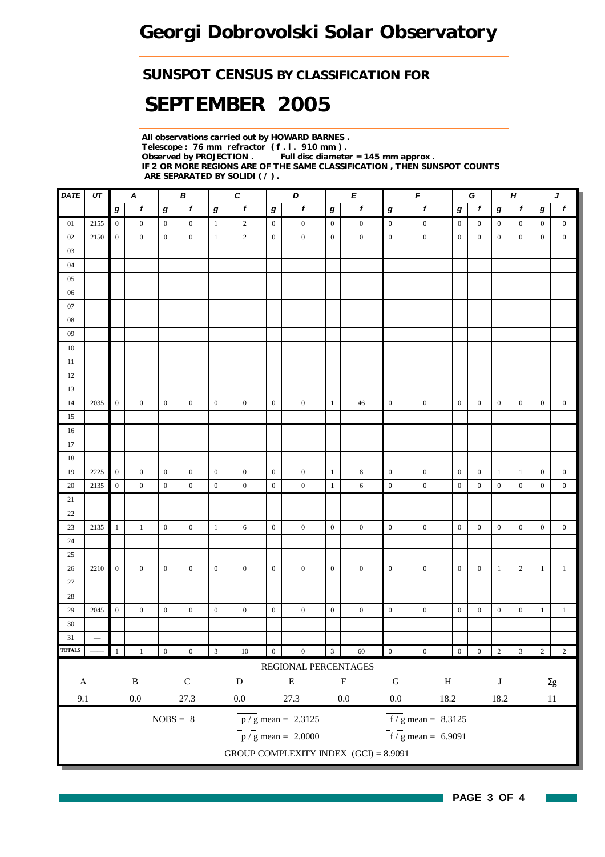### *SUNSPOT CENSUS BY CLASSIFICATION FOR*

# *SEPTEMBER 2005*

*All observations carried out by HOWARD BARNES . Telescope : 76 mm refractor ( f . l . 910 mm ) . Full disc diameter = 145 mm approx . IF 2 OR MORE REGIONS ARE OF THE SAME CLASSIFICATION , THEN SUNSPOT COUNTS ARE SEPARATED BY SOLIDI ( / ) .*

| DATE                                                                                                                      | UT              |                  | Α                |                  | В                |                  | $\pmb{c}$        |                  | D                                       |                  | E                |                  | F                   | G<br>$\pmb H$                     |                  |                  |                  | J                |                  |
|---------------------------------------------------------------------------------------------------------------------------|-----------------|------------------|------------------|------------------|------------------|------------------|------------------|------------------|-----------------------------------------|------------------|------------------|------------------|---------------------|-----------------------------------|------------------|------------------|------------------|------------------|------------------|
|                                                                                                                           |                 | g                | $\boldsymbol{f}$ | g                | $\boldsymbol{f}$ | $\boldsymbol{g}$ | $\boldsymbol{f}$ | $\boldsymbol{g}$ | $\boldsymbol{f}$                        | $\bm{g}$         | $\pmb{f}$        | $\boldsymbol{g}$ | $\pmb{f}$           | $\boldsymbol{f}$<br>g<br>$\bm{g}$ |                  |                  | $\pmb{f}$        | g                | $\pmb{f}$        |
| 01                                                                                                                        | 2155            | $\overline{0}$   | $\boldsymbol{0}$ | $\boldsymbol{0}$ | $\boldsymbol{0}$ | $\mathbf{1}$     | $\overline{c}$   | $\boldsymbol{0}$ | $\boldsymbol{0}$                        | $\boldsymbol{0}$ | $\boldsymbol{0}$ | $\bf{0}$         | $\boldsymbol{0}$    | $\boldsymbol{0}$                  | $\boldsymbol{0}$ | $\boldsymbol{0}$ | $\boldsymbol{0}$ | $\boldsymbol{0}$ | $\boldsymbol{0}$ |
| $02\,$                                                                                                                    | $2150\,$        | $\boldsymbol{0}$ | $\boldsymbol{0}$ | $\boldsymbol{0}$ | $\overline{0}$   | $\mathbf{1}$     | $\sqrt{2}$       | $\boldsymbol{0}$ | $\boldsymbol{0}$                        | $\mathbf{0}$     | $\boldsymbol{0}$ | $\boldsymbol{0}$ | $\boldsymbol{0}$    | $\mathbf{0}$                      | $\mathbf{0}$     | $\boldsymbol{0}$ | $\mathbf{0}$     | $\mathbf{0}$     | $\boldsymbol{0}$ |
| $03\,$                                                                                                                    |                 |                  |                  |                  |                  |                  |                  |                  |                                         |                  |                  |                  |                     |                                   |                  |                  |                  |                  |                  |
| $04$                                                                                                                      |                 |                  |                  |                  |                  |                  |                  |                  |                                         |                  |                  |                  |                     |                                   |                  |                  |                  |                  |                  |
| $05\,$                                                                                                                    |                 |                  |                  |                  |                  |                  |                  |                  |                                         |                  |                  |                  |                     |                                   |                  |                  |                  |                  |                  |
| $06\,$                                                                                                                    |                 |                  |                  |                  |                  |                  |                  |                  |                                         |                  |                  |                  |                     |                                   |                  |                  |                  |                  |                  |
| $07\,$                                                                                                                    |                 |                  |                  |                  |                  |                  |                  |                  |                                         |                  |                  |                  |                     |                                   |                  |                  |                  |                  |                  |
| 08                                                                                                                        |                 |                  |                  |                  |                  |                  |                  |                  |                                         |                  |                  |                  |                     |                                   |                  |                  |                  |                  |                  |
| 09                                                                                                                        |                 |                  |                  |                  |                  |                  |                  |                  |                                         |                  |                  |                  |                     |                                   |                  |                  |                  |                  |                  |
| 10                                                                                                                        |                 |                  |                  |                  |                  |                  |                  |                  |                                         |                  |                  |                  |                     |                                   |                  |                  |                  |                  |                  |
| 11                                                                                                                        |                 |                  |                  |                  |                  |                  |                  |                  |                                         |                  |                  |                  |                     |                                   |                  |                  |                  |                  |                  |
| 12                                                                                                                        |                 |                  |                  |                  |                  |                  |                  |                  |                                         |                  |                  |                  |                     |                                   |                  |                  |                  |                  |                  |
| 13                                                                                                                        |                 |                  |                  |                  |                  |                  |                  |                  |                                         |                  |                  |                  |                     |                                   |                  |                  |                  |                  |                  |
| 14                                                                                                                        | $2035\,$        | $\boldsymbol{0}$ | $\boldsymbol{0}$ | $\boldsymbol{0}$ | $\mathbf{0}$     | $\boldsymbol{0}$ | $\boldsymbol{0}$ | $\boldsymbol{0}$ | $\boldsymbol{0}$                        | $\mathbf{1}$     | 46               | $\boldsymbol{0}$ | $\boldsymbol{0}$    | $\boldsymbol{0}$                  | $\boldsymbol{0}$ | $\boldsymbol{0}$ | $\boldsymbol{0}$ | $\boldsymbol{0}$ | $\boldsymbol{0}$ |
| 15                                                                                                                        |                 |                  |                  |                  |                  |                  |                  |                  |                                         |                  |                  |                  |                     |                                   |                  |                  |                  |                  |                  |
| 16                                                                                                                        |                 |                  |                  |                  |                  |                  |                  |                  |                                         |                  |                  |                  |                     |                                   |                  |                  |                  |                  |                  |
| 17                                                                                                                        |                 |                  |                  |                  |                  |                  |                  |                  |                                         |                  |                  |                  |                     |                                   |                  |                  |                  |                  |                  |
| 18                                                                                                                        |                 |                  |                  |                  |                  |                  |                  |                  |                                         |                  |                  |                  |                     |                                   |                  |                  |                  |                  |                  |
| 19                                                                                                                        | 2225            | $\overline{0}$   | $\boldsymbol{0}$ | $\boldsymbol{0}$ | $\mathbf{0}$     | $\overline{0}$   | $\boldsymbol{0}$ | $\boldsymbol{0}$ | $\boldsymbol{0}$                        | $\mathbf{1}$     | $\,$ 8 $\,$      | $\mathbf{0}$     | $\boldsymbol{0}$    | $\boldsymbol{0}$                  | $\boldsymbol{0}$ | $\mathbf{1}$     | $\mathbf{1}$     | $\boldsymbol{0}$ | $\boldsymbol{0}$ |
| 20                                                                                                                        | 2135            | $\overline{0}$   | $\mathbf{0}$     | $\boldsymbol{0}$ | $\boldsymbol{0}$ | $\boldsymbol{0}$ | $\boldsymbol{0}$ | $\boldsymbol{0}$ | $\boldsymbol{0}$                        | $\mathbf{1}$     | 6                | $\boldsymbol{0}$ | $\boldsymbol{0}$    | $\mathbf{0}$                      | $\boldsymbol{0}$ | $\boldsymbol{0}$ | $\boldsymbol{0}$ | $\boldsymbol{0}$ | $\boldsymbol{0}$ |
| 21                                                                                                                        |                 |                  |                  |                  |                  |                  |                  |                  |                                         |                  |                  |                  |                     |                                   |                  |                  |                  |                  |                  |
| $22\,$                                                                                                                    |                 |                  |                  |                  |                  |                  |                  |                  |                                         |                  |                  |                  |                     |                                   |                  |                  |                  |                  |                  |
| $23\,$                                                                                                                    | 2135            | $\mathbf{1}$     | $\mathbf{1}$     | $\boldsymbol{0}$ | $\boldsymbol{0}$ | $\mathbf{1}$     | 6                | $\boldsymbol{0}$ | $\boldsymbol{0}$                        | $\boldsymbol{0}$ | $\boldsymbol{0}$ | $\mathbf{0}$     | $\boldsymbol{0}$    | $\boldsymbol{0}$                  | $\boldsymbol{0}$ | $\boldsymbol{0}$ | $\boldsymbol{0}$ | $\boldsymbol{0}$ | $\boldsymbol{0}$ |
| $24\,$                                                                                                                    |                 |                  |                  |                  |                  |                  |                  |                  |                                         |                  |                  |                  |                     |                                   |                  |                  |                  |                  |                  |
| 25                                                                                                                        |                 |                  |                  |                  |                  |                  |                  |                  |                                         |                  |                  |                  |                     |                                   |                  |                  |                  |                  |                  |
| $26\,$                                                                                                                    | 2210            | $\boldsymbol{0}$ | $\boldsymbol{0}$ | $\boldsymbol{0}$ | $\mathbf{0}$     | $\boldsymbol{0}$ | $\boldsymbol{0}$ | $\boldsymbol{0}$ | $\boldsymbol{0}$                        | $\boldsymbol{0}$ | $\boldsymbol{0}$ | $\boldsymbol{0}$ | $\boldsymbol{0}$    | $\boldsymbol{0}$                  | $\boldsymbol{0}$ | $\mathbf{1}$     | $\overline{2}$   | $\mathbf{1}$     | $\mathbf{1}$     |
| $27\,$                                                                                                                    |                 |                  |                  |                  |                  |                  |                  |                  |                                         |                  |                  |                  |                     |                                   |                  |                  |                  |                  |                  |
| $28\,$                                                                                                                    |                 |                  |                  |                  |                  |                  |                  |                  |                                         |                  |                  |                  |                     |                                   |                  |                  |                  |                  |                  |
| 29                                                                                                                        | 2045            | $\boldsymbol{0}$ | $\boldsymbol{0}$ | $\boldsymbol{0}$ | $\mathbf{0}$     | $\boldsymbol{0}$ | $\boldsymbol{0}$ | $\boldsymbol{0}$ | $\boldsymbol{0}$                        | $\boldsymbol{0}$ | $\boldsymbol{0}$ | $\,0\,$          | $\boldsymbol{0}$    | $\boldsymbol{0}$                  | $\boldsymbol{0}$ | $\boldsymbol{0}$ | $\boldsymbol{0}$ | $\mathbf{1}$     | $\,1\,$          |
| $30\,$                                                                                                                    |                 |                  |                  |                  |                  |                  |                  |                  |                                         |                  |                  |                  |                     |                                   |                  |                  |                  |                  |                  |
| 31                                                                                                                        | $\qquad \qquad$ |                  |                  |                  |                  |                  |                  |                  |                                         |                  |                  |                  |                     |                                   |                  |                  |                  |                  |                  |
| <b>TOTALS</b>                                                                                                             |                 | 1                | $\,1$            | $\boldsymbol{0}$ | $\boldsymbol{0}$ | $\overline{3}$   | $10\,$           | $\boldsymbol{0}$ | $\boldsymbol{0}$                        | $\mathbf{3}$     | $60\,$           | $\boldsymbol{0}$ | $\boldsymbol{0}$    | $\boldsymbol{0}$                  | $\boldsymbol{0}$ | $\sqrt{2}$       | $\mathfrak{Z}$   | $\overline{2}$   | $\sqrt{2}$       |
|                                                                                                                           |                 |                  |                  |                  |                  |                  |                  |                  | REGIONAL PERCENTAGES                    |                  |                  |                  |                     |                                   |                  |                  |                  |                  |                  |
| ${\bf C}$<br>${\bf E}$<br>$\mathbf F$<br>$\, {\bf B}$<br>${\bf G}$<br>$\mathbf A$<br>${\bf D}$<br>$\, {\rm H}$<br>$\bf J$ |                 |                  |                  |                  |                  |                  |                  | $\Sigma g$       |                                         |                  |                  |                  |                     |                                   |                  |                  |                  |                  |                  |
|                                                                                                                           |                 |                  |                  |                  |                  |                  |                  |                  |                                         |                  |                  |                  |                     |                                   |                  |                  |                  |                  |                  |
| 9.1                                                                                                                       |                 |                  | $0.0\,$          |                  | 27.3             |                  | $0.0\,$          |                  | 27.3                                    |                  | $0.0\,$          | $0.0\,$          | 18.2                |                                   |                  | 18.2             |                  |                  | $11\,$           |
|                                                                                                                           |                 |                  |                  |                  | $NOBS = 8$       |                  |                  |                  | $p / g$ mean = 2.3125                   |                  |                  |                  | $f/g$ mean = 8.3125 |                                   |                  |                  |                  |                  |                  |
|                                                                                                                           |                 |                  |                  |                  |                  |                  |                  |                  | $p / g$ mean = 2.0000                   |                  |                  |                  | $f/g$ mean = 6.9091 |                                   |                  |                  |                  |                  |                  |
|                                                                                                                           |                 |                  |                  |                  |                  |                  |                  |                  | GROUP COMPLEXITY INDEX $(GCI) = 8.9091$ |                  |                  |                  |                     |                                   |                  |                  |                  |                  |                  |
|                                                                                                                           |                 |                  |                  |                  |                  |                  |                  |                  |                                         |                  |                  |                  |                     |                                   |                  |                  |                  |                  |                  |

**PAGE 3 OF 4**